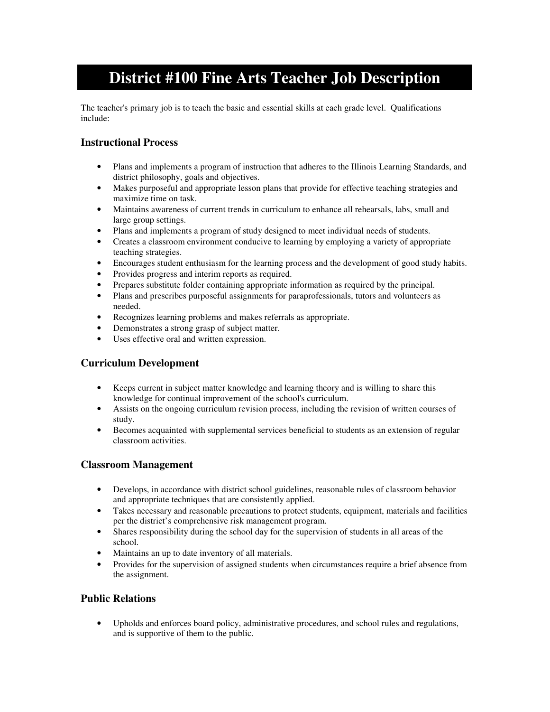# **District #100 Fine Arts Teacher Job Description**

The teacher's primary job is to teach the basic and essential skills at each grade level. Qualifications include:

## **Instructional Process**

- Plans and implements a program of instruction that adheres to the Illinois Learning Standards, and district philosophy, goals and objectives.
- Makes purposeful and appropriate lesson plans that provide for effective teaching strategies and maximize time on task.
- Maintains awareness of current trends in curriculum to enhance all rehearsals, labs, small and large group settings.
- Plans and implements a program of study designed to meet individual needs of students.
- Creates a classroom environment conducive to learning by employing a variety of appropriate teaching strategies.
- Encourages student enthusiasm for the learning process and the development of good study habits.
- Provides progress and interim reports as required.
- Prepares substitute folder containing appropriate information as required by the principal.
- Plans and prescribes purposeful assignments for paraprofessionals, tutors and volunteers as needed.
- Recognizes learning problems and makes referrals as appropriate.
- Demonstrates a strong grasp of subject matter.
- Uses effective oral and written expression.

## **Curriculum Development**

- Keeps current in subject matter knowledge and learning theory and is willing to share this knowledge for continual improvement of the school's curriculum.
- Assists on the ongoing curriculum revision process, including the revision of written courses of study.
- Becomes acquainted with supplemental services beneficial to students as an extension of regular classroom activities.

### **Classroom Management**

- Develops, in accordance with district school guidelines, reasonable rules of classroom behavior and appropriate techniques that are consistently applied.
- Takes necessary and reasonable precautions to protect students, equipment, materials and facilities per the district's comprehensive risk management program.
- Shares responsibility during the school day for the supervision of students in all areas of the school.
- Maintains an up to date inventory of all materials.
- Provides for the supervision of assigned students when circumstances require a brief absence from the assignment.

## **Public Relations**

• Upholds and enforces board policy, administrative procedures, and school rules and regulations, and is supportive of them to the public.